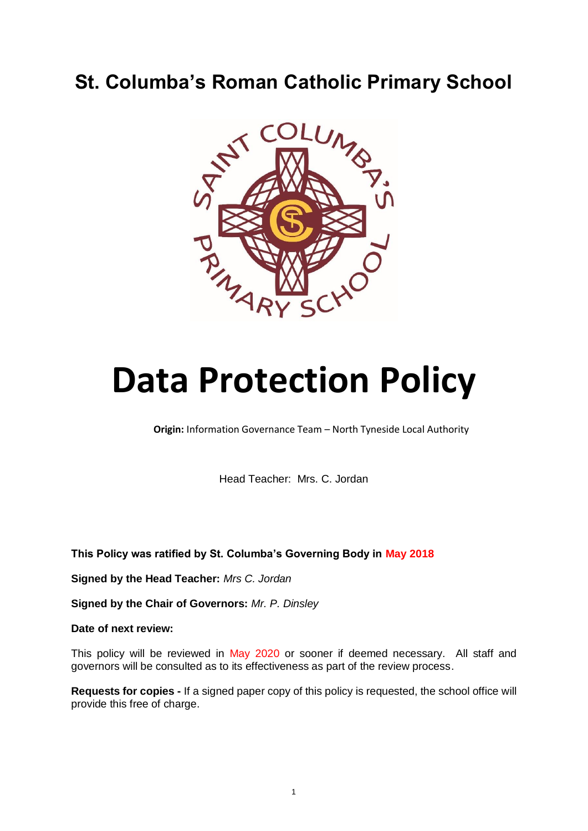# **St. Columba's Roman Catholic Primary School**



# **Data Protection Policy**

**Origin:** Information Governance Team – North Tyneside Local Authority

Head Teacher: Mrs. C. Jordan

**This Policy was ratified by St. Columba's Governing Body in May 2018**

**Signed by the Head Teacher:** *Mrs C. Jordan*

**Signed by the Chair of Governors:** *Mr. P. Dinsley*

**Date of next review:** 

This policy will be reviewed in May 2020 or sooner if deemed necessary. All staff and governors will be consulted as to its effectiveness as part of the review process.

**Requests for copies -** If a signed paper copy of this policy is requested, the school office will provide this free of charge.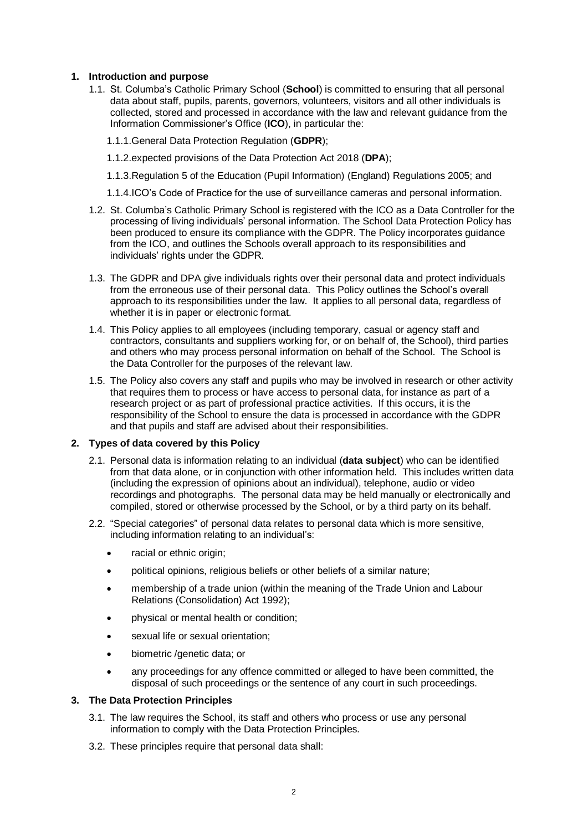# **1. Introduction and purpose**

1.1. St. Columba's Catholic Primary School (**School**) is committed to ensuring that all personal data about staff, pupils, parents, governors, volunteers, visitors and all other individuals is collected, stored and processed in accordance with the law and relevant guidance from the Information Commissioner's Office (**ICO**), in particular the:

1.1.1.General Data Protection Regulation (**GDPR**);

1.1.2.expected provisions of the Data Protection Act 2018 (**DPA**);

1.1.3.Regulation 5 of the Education (Pupil Information) (England) Regulations 2005; and

- 1.1.4.ICO's Code of Practice for the use of surveillance cameras and personal information.
- 1.2. St. Columba's Catholic Primary School is registered with the ICO as a Data Controller for the processing of living individuals' personal information. The School Data Protection Policy has been produced to ensure its compliance with the GDPR. The Policy incorporates guidance from the ICO, and outlines the Schools overall approach to its responsibilities and individuals' rights under the GDPR.
- 1.3. The GDPR and DPA give individuals rights over their personal data and protect individuals from the erroneous use of their personal data. This Policy outlines the School's overall approach to its responsibilities under the law. It applies to all personal data, regardless of whether it is in paper or electronic format.
- 1.4. This Policy applies to all employees (including temporary, casual or agency staff and contractors, consultants and suppliers working for, or on behalf of, the School), third parties and others who may process personal information on behalf of the School. The School is the Data Controller for the purposes of the relevant law.
- 1.5. The Policy also covers any staff and pupils who may be involved in research or other activity that requires them to process or have access to personal data, for instance as part of a research project or as part of professional practice activities. If this occurs, it is the responsibility of the School to ensure the data is processed in accordance with the GDPR and that pupils and staff are advised about their responsibilities.

#### **2. Types of data covered by this Policy**

- 2.1. Personal data is information relating to an individual (**data subject**) who can be identified from that data alone, or in conjunction with other information held. This includes written data (including the expression of opinions about an individual), telephone, audio or video recordings and photographs. The personal data may be held manually or electronically and compiled, stored or otherwise processed by the School, or by a third party on its behalf.
- 2.2. "Special categories" of personal data relates to personal data which is more sensitive, including information relating to an individual's:
	- racial or ethnic origin;
	- political opinions, religious beliefs or other beliefs of a similar nature;
	- membership of a trade union (within the meaning of the Trade Union and Labour Relations (Consolidation) Act 1992);
	- physical or mental health or condition;
	- sexual life or sexual orientation;
	- biometric /genetic data; or
	- any proceedings for any offence committed or alleged to have been committed, the disposal of such proceedings or the sentence of any court in such proceedings.

#### **3. The Data Protection Principles**

- 3.1. The law requires the School, its staff and others who process or use any personal information to comply with the Data Protection Principles.
- 3.2. These principles require that personal data shall: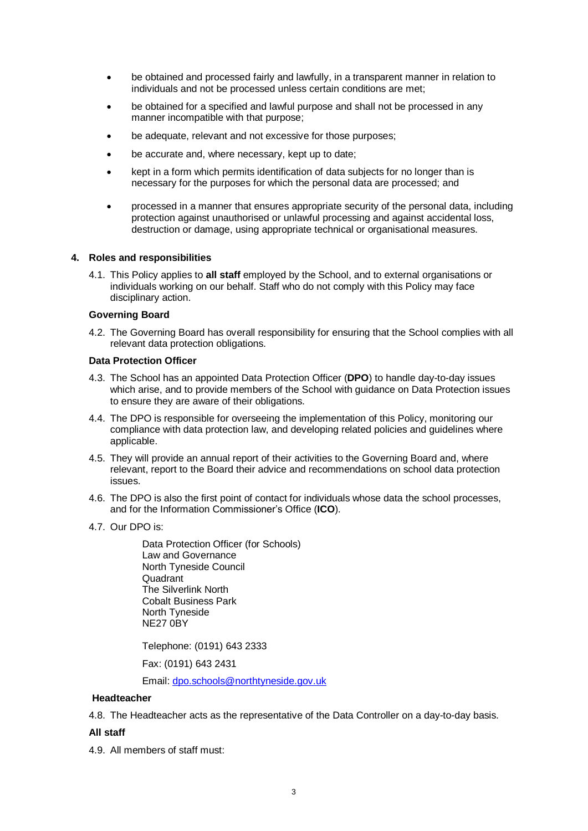- be obtained and processed fairly and lawfully, in a transparent manner in relation to individuals and not be processed unless certain conditions are met;
- be obtained for a specified and lawful purpose and shall not be processed in any manner incompatible with that purpose;
- be adequate, relevant and not excessive for those purposes;
- be accurate and, where necessary, kept up to date;
- kept in a form which permits identification of data subjects for no longer than is necessary for the purposes for which the personal data are processed; and
- processed in a manner that ensures appropriate security of the personal data, including protection against unauthorised or unlawful processing and against accidental loss, destruction or damage, using appropriate technical or organisational measures.

#### **4. Roles and responsibilities**

4.1. This Policy applies to **all staff** employed by the School, and to external organisations or individuals working on our behalf. Staff who do not comply with this Policy may face disciplinary action.

#### **Governing Board**

4.2. The Governing Board has overall responsibility for ensuring that the School complies with all relevant data protection obligations.

#### **Data Protection Officer**

- 4.3. The School has an appointed Data Protection Officer (**DPO**) to handle day-to-day issues which arise, and to provide members of the School with guidance on Data Protection issues to ensure they are aware of their obligations.
- 4.4. The DPO is responsible for overseeing the implementation of this Policy, monitoring our compliance with data protection law, and developing related policies and guidelines where applicable.
- 4.5. They will provide an annual report of their activities to the Governing Board and, where relevant, report to the Board their advice and recommendations on school data protection issues.
- 4.6. The DPO is also the first point of contact for individuals whose data the school processes, and for the Information Commissioner's Office (**ICO**).
- 4.7. Our DPO is:

Data Protection Officer (for Schools) Law and Governance North Tyneside Council Quadrant The Silverlink North Cobalt Business Park North Tyneside NE27 0BY

Telephone: (0191) 643 2333

Fax: (0191) 643 2431

Email[: dpo.schools@northtyneside.gov.uk](mailto:dpo.schools@northtyneside.gov.uk)

#### **Headteacher**

4.8. The Headteacher acts as the representative of the Data Controller on a day-to-day basis.

#### **All staff**

4.9. All members of staff must: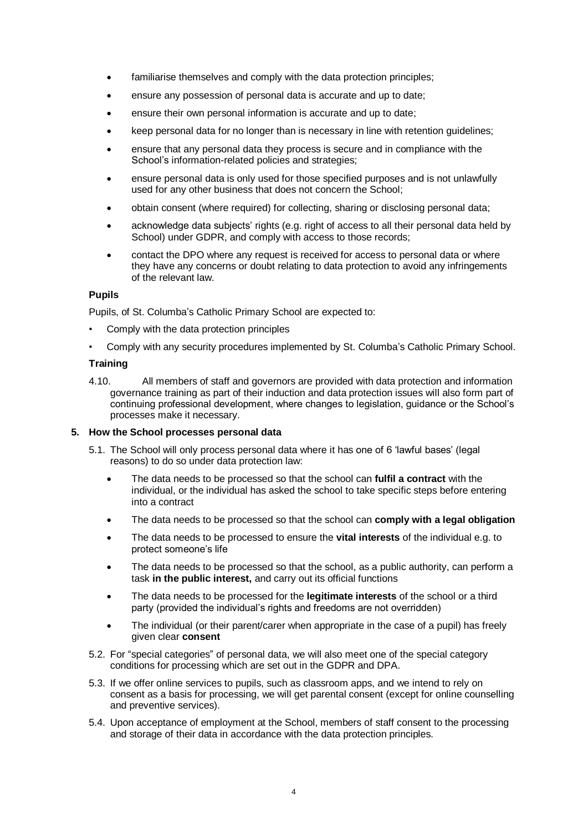- familiarise themselves and comply with the data protection principles;
- ensure any possession of personal data is accurate and up to date;
- ensure their own personal information is accurate and up to date;
- keep personal data for no longer than is necessary in line with retention guidelines;
- ensure that any personal data they process is secure and in compliance with the School's information-related policies and strategies:
- ensure personal data is only used for those specified purposes and is not unlawfully used for any other business that does not concern the School;
- obtain consent (where required) for collecting, sharing or disclosing personal data;
- acknowledge data subjects' rights (e.g. right of access to all their personal data held by School) under GDPR, and comply with access to those records;
- contact [the](mailto:dataprotection@glos.ac.uk) DPO where any request is received for access to personal data or where they have any concerns or doubt relating to data protection to avoid any infringements of the relevant law.

#### **Pupils**

Pupils, of St. Columba's Catholic Primary School are expected to:

- Comply with the data protection principles
- Comply with any security procedures implemented by St. Columba's Catholic Primary School.

#### **Training**

4.10. All members of staff and governors are provided with data protection and information governance training as part of their induction and data protection issues will also form part of continuing professional development, where changes to legislation, guidance or the School's processes make it necessary.

#### **5. How the School processes personal data**

- 5.1. The School will only process personal data where it has one of 6 'lawful bases' (legal reasons) to do so under data protection law:
	- The data needs to be processed so that the school can **fulfil a contract** with the individual, or the individual has asked the school to take specific steps before entering into a contract
	- The data needs to be processed so that the school can **comply with a legal obligation**
	- The data needs to be processed to ensure the **vital interests** of the individual e.g. to protect someone's life
	- The data needs to be processed so that the school, as a public authority, can perform a task **in the public interest,** and carry out its official functions
	- The data needs to be processed for the **legitimate interests** of the school or a third party (provided the individual's rights and freedoms are not overridden)
	- The individual (or their parent/carer when appropriate in the case of a pupil) has freely given clear **consent**
- 5.2. For "special categories" of personal data, we will also meet one of the special category conditions for processing which are set out in the GDPR and DPA.
- 5.3. If we offer online services to pupils, such as classroom apps, and we intend to rely on consent as a basis for processing, we will get parental consent (except for online counselling and preventive services).
- 5.4. Upon acceptance of employment at the School, members of staff consent to the processing and storage of their data in accordance with the data protection principles.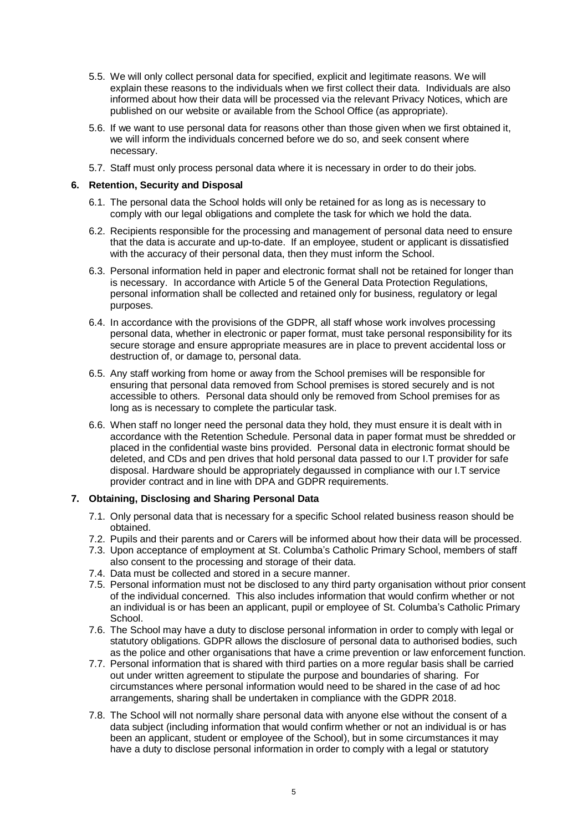- 5.5. We will only collect personal data for specified, explicit and legitimate reasons. We will explain these reasons to the individuals when we first collect their data. Individuals are also informed about how their data will be processed via the relevant Privacy Notices, which are published on our website or available from the School Office (as appropriate).
- 5.6. If we want to use personal data for reasons other than those given when we first obtained it, we will inform the individuals concerned before we do so, and seek consent where necessary.
- 5.7. Staff must only process personal data where it is necessary in order to do their jobs.

### **6. Retention, Security and Disposal**

- 6.1. The personal data the School holds will only be retained for as long as is necessary to comply with our legal obligations and complete the task for which we hold the data.
- 6.2. Recipients responsible for the processing and management of personal data need to ensure that the data is accurate and up-to-date. If an employee, student or applicant is dissatisfied with the accuracy of their personal data, then they must inform the School.
- 6.3. Personal information held in paper and electronic format shall not be retained for longer than is necessary. In accordance with Article 5 of the General Data Protection Regulations, personal information shall be collected and retained only for business, regulatory or legal purposes.
- 6.4. In accordance with the provisions of the GDPR, all staff whose work involves processing personal data, whether in electronic or paper format, must take personal responsibility for its secure storage and ensure appropriate measures are in place to prevent accidental loss or destruction of, or damage to, personal data.
- 6.5. Any staff working from home or away from the School premises will be responsible for ensuring that personal data removed from School premises is stored securely and is not accessible to others. Personal data should only be removed from School premises for as long as is necessary to complete the particular task.
- 6.6. When staff no longer need the personal data they hold, they must ensure it is dealt with in accordance with the Retention Schedule. Personal data in paper format must be shredded or placed in the confidential waste bins provided. Personal data in electronic format should be deleted, and CDs and pen drives that hold personal data passed to our I.T provider for safe disposal. Hardware should be appropriately degaussed in compliance with our I.T service provider contract and in line with DPA and GDPR requirements.

# **7. Obtaining, Disclosing and Sharing Personal Data**

- 7.1. Only personal data that is necessary for a specific School related business reason should be obtained.
- 7.2. Pupils and their parents and or Carers will be informed about how their data will be processed.
- 7.3. Upon acceptance of employment at St. Columba's Catholic Primary School, members of staff also consent to the processing and storage of their data.
- 7.4. Data must be collected and stored in a secure manner.
- 7.5. Personal information must not be disclosed to any third party organisation without prior consent of the individual concerned. This also includes information that would confirm whether or not an individual is or has been an applicant, pupil or employee of St. Columba's Catholic Primary School.
- 7.6. The School may have a duty to disclose personal information in order to comply with legal or statutory obligations. GDPR allows the disclosure of personal data to authorised bodies, such as the police and other organisations that have a crime prevention or law enforcement function.
- 7.7. Personal information that is shared with third parties on a more regular basis shall be carried out under written agreement to stipulate the purpose and boundaries of sharing. For circumstances where personal information would need to be shared in the case of ad hoc arrangements, sharing shall be undertaken in compliance with the GDPR 2018.
- 7.8. The School will not normally share personal data with anyone else without the consent of a data subject (including information that would confirm whether or not an individual is or has been an applicant, student or employee of the School), but in some circumstances it may have a duty to disclose personal information in order to comply with a legal or statutory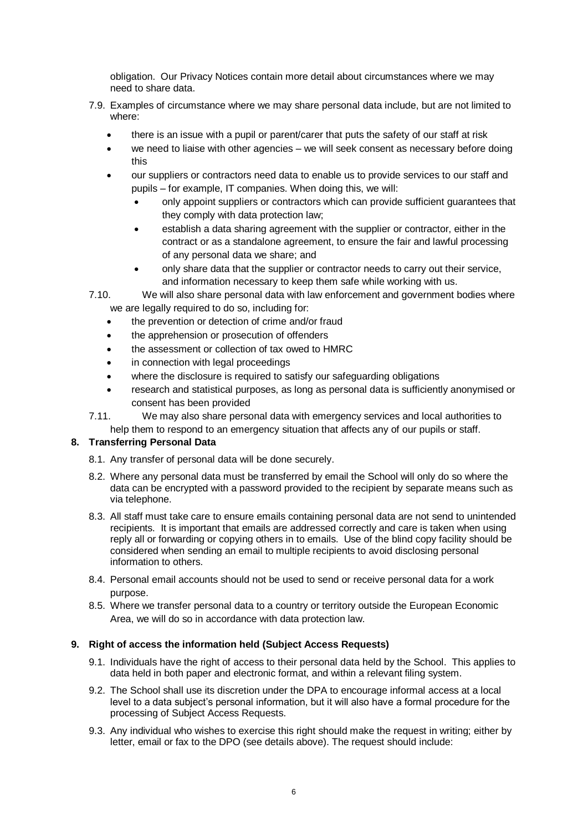obligation. Our Privacy Notices contain more detail about circumstances where we may need to share data.

- 7.9. Examples of circumstance where we may share personal data include, but are not limited to where:
	- there is an issue with a pupil or parent/carer that puts the safety of our staff at risk
	- we need to liaise with other agencies we will seek consent as necessary before doing this
	- our suppliers or contractors need data to enable us to provide services to our staff and pupils – for example, IT companies. When doing this, we will:
		- only appoint suppliers or contractors which can provide sufficient guarantees that they comply with data protection law;
		- establish a data sharing agreement with the supplier or contractor, either in the contract or as a standalone agreement, to ensure the fair and lawful processing of any personal data we share; and
		- only share data that the supplier or contractor needs to carry out their service, and information necessary to keep them safe while working with us.

7.10. We will also share personal data with law enforcement and government bodies where we are legally required to do so, including for:

- the prevention or detection of crime and/or fraud
- the apprehension or prosecution of offenders
- the assessment or collection of tax owed to HMRC
- in connection with legal proceedings
- where the disclosure is required to satisfy our safeguarding obligations
- research and statistical purposes, as long as personal data is sufficiently anonymised or consent has been provided
- 7.11. We may also share personal data with emergency services and local authorities to help them to respond to an emergency situation that affects any of our pupils or staff.

# **8. Transferring Personal Data**

- 8.1. Any transfer of personal data will be done securely.
- 8.2. Where any personal data must be transferred by email the School will only do so where the data can be encrypted with a password provided to the recipient by separate means such as via telephone.
- 8.3. All staff must take care to ensure emails containing personal data are not send to unintended recipients. It is important that emails are addressed correctly and care is taken when using reply all or forwarding or copying others in to emails. Use of the blind copy facility should be considered when sending an email to multiple recipients to avoid disclosing personal information to others.
- 8.4. Personal email accounts should not be used to send or receive personal data for a work purpose.
- 8.5. Where we transfer personal data to a country or territory outside the European Economic Area, we will do so in accordance with data protection law.

# **9. Right of access the information held (Subject Access Requests)**

- 9.1. Individuals have the right of access to their personal data held by the School. This applies to data held in both paper and electronic format, and within a relevant filing system.
- 9.2. The School shall use its discretion under the DPA to encourage informal access at a local level to a data subject's personal information, but it will also have a formal procedure for the processing of Subject Access Requests.
- 9.3. Any individual who wishes to exercise this right should make the request in writing; either by letter, email or fax to the DPO (see details above). The request should include: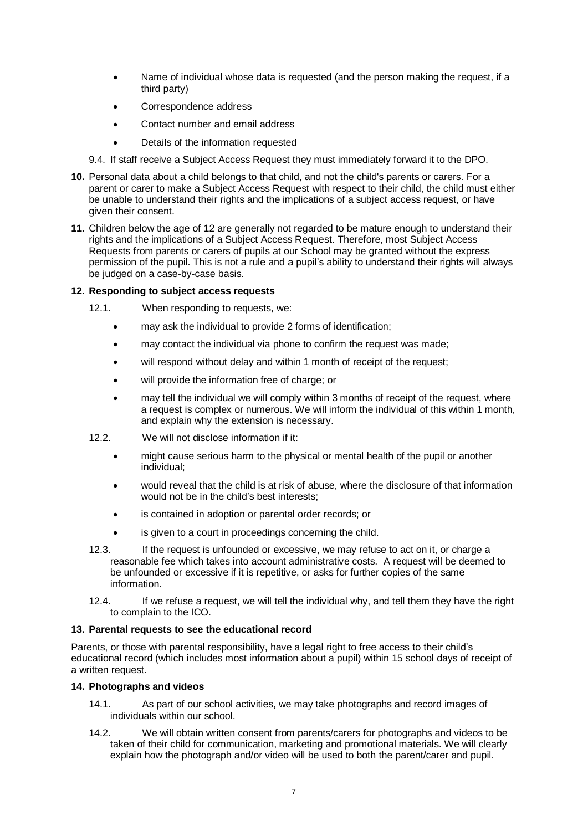- Name of individual whose data is requested (and the person making the request, if a third party)
- Correspondence address
- Contact number and email address
- Details of the information requested
- 9.4. If staff receive a Subject Access Request they must immediately forward it to the DPO.
- **10.** Personal data about a child belongs to that child, and not the child's parents or carers. For a parent or carer to make a Subject Access Request with respect to their child, the child must either be unable to understand their rights and the implications of a subject access request, or have given their consent.
- **11.** Children below the age of 12 are generally not regarded to be mature enough to understand their rights and the implications of a Subject Access Request. Therefore, most Subject Access Requests from parents or carers of pupils at our School may be granted without the express permission of the pupil. This is not a rule and a pupil's ability to understand their rights will always be judged on a case-by-case basis.

# **12. Responding to subject access requests**

- 12.1. When responding to requests, we:
	- may ask the individual to provide 2 forms of identification;
	- may contact the individual via phone to confirm the request was made;
	- will respond without delay and within 1 month of receipt of the request;
	- will provide the information free of charge; or
	- may tell the individual we will comply within 3 months of receipt of the request, where a request is complex or numerous. We will inform the individual of this within 1 month, and explain why the extension is necessary.
- 12.2. We will not disclose information if it:
	- might cause serious harm to the physical or mental health of the pupil or another individual;
	- would reveal that the child is at risk of abuse, where the disclosure of that information would not be in the child's best interests;
	- is contained in adoption or parental order records; or
	- is given to a court in proceedings concerning the child.
- 12.3. If the request is unfounded or excessive, we may refuse to act on it, or charge a reasonable fee which takes into account administrative costs. A request will be deemed to be unfounded or excessive if it is repetitive, or asks for further copies of the same information.
- 12.4. If we refuse a request, we will tell the individual why, and tell them they have the right to complain to the ICO.

# **13. Parental requests to see the educational record**

Parents, or those with parental responsibility, have a legal right to free access to their child's educational record (which includes most information about a pupil) within 15 school days of receipt of a written request.

# **14. Photographs and videos**

- 14.1. As part of our school activities, we may take photographs and record images of individuals within our school.
- 14.2. We will obtain written consent from parents/carers for photographs and videos to be taken of their child for communication, marketing and promotional materials. We will clearly explain how the photograph and/or video will be used to both the parent/carer and pupil.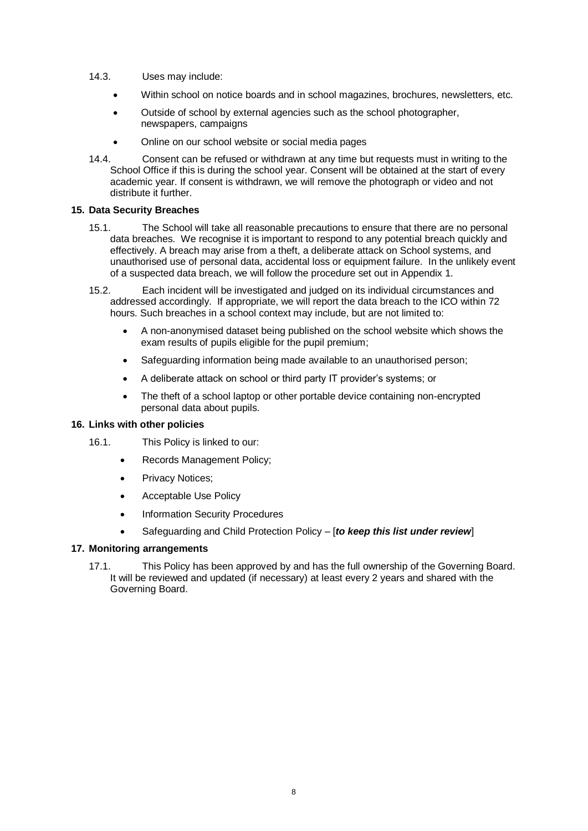- 14.3. Uses may include:
	- Within school on notice boards and in school magazines, brochures, newsletters, etc.
	- Outside of school by external agencies such as the school photographer, newspapers, campaigns
	- Online on our school website or social media pages
- 14.4. Consent can be refused or withdrawn at any time but requests must in writing to the School Office if this is during the school year. Consent will be obtained at the start of every academic year. If consent is withdrawn, we will remove the photograph or video and not distribute it further.

# **15. Data Security Breaches**

- 15.1. The School will take all reasonable precautions to ensure that there are no personal data breaches. We recognise it is important to respond to any potential breach quickly and effectively. A breach may arise from a theft, a deliberate attack on School systems, and unauthorised use of personal data, accidental loss or equipment failure. In the unlikely event of a suspected data breach, we will follow the procedure set out in Appendix 1.
- 15.2. Each incident will be investigated and judged on its individual circumstances and addressed accordingly. If appropriate, we will report the data breach to the ICO within 72 hours. Such breaches in a school context may include, but are not limited to:
	- A non-anonymised dataset being published on the school website which shows the exam results of pupils eligible for the pupil premium;
	- Safeguarding information being made available to an unauthorised person;
	- A deliberate attack on school or third party IT provider's systems; or
	- The theft of a school laptop or other portable device containing non-encrypted personal data about pupils.

#### **16. Links with other policies**

- 16.1. This Policy is linked to our:
	- Records Management Policy;
	- Privacy Notices;
	- Acceptable Use Policy
	- Information Security Procedures
	- Safeguarding and Child Protection Policy [*to keep this list under review*]

# **17. Monitoring arrangements**

17.1. This Policy has been approved by and has the full ownership of the Governing Board. It will be reviewed and updated (if necessary) at least every 2 years and shared with the Governing Board.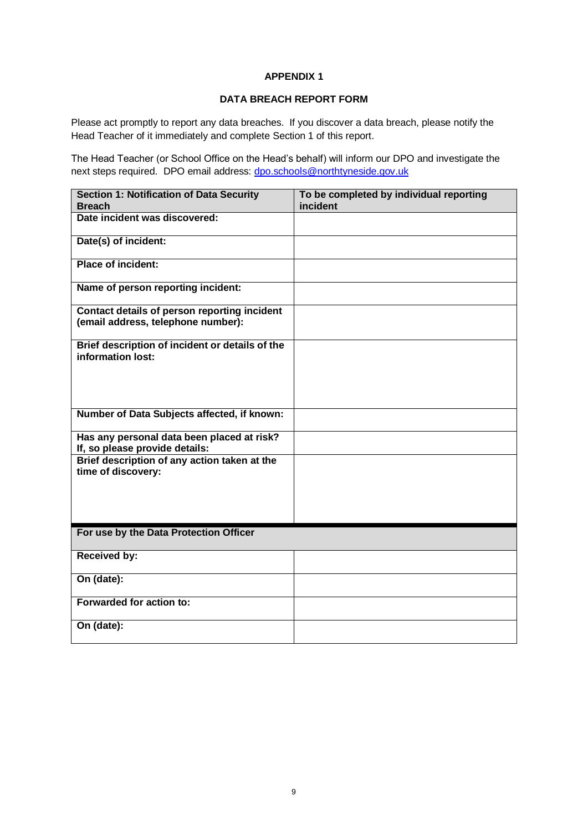# **APPENDIX 1**

# **DATA BREACH REPORT FORM**

Please act promptly to report any data breaches. If you discover a data breach, please notify the Head Teacher of it immediately and complete Section 1 of this report.

The Head Teacher (or School Office on the Head's behalf) will inform our DPO and investigate the next steps required. DPO email address: [dpo.schools@northtyneside.gov.uk](mailto:dpo.schools@northtyneside.gov.uk)

| <b>Section 1: Notification of Data Security</b>                                    | To be completed by individual reporting |
|------------------------------------------------------------------------------------|-----------------------------------------|
| <b>Breach</b>                                                                      | incident                                |
| Date incident was discovered:                                                      |                                         |
| Date(s) of incident:                                                               |                                         |
| <b>Place of incident:</b>                                                          |                                         |
| Name of person reporting incident:                                                 |                                         |
| Contact details of person reporting incident<br>(email address, telephone number): |                                         |
| Brief description of incident or details of the<br>information lost:               |                                         |
| Number of Data Subjects affected, if known:                                        |                                         |
| Has any personal data been placed at risk?<br>If, so please provide details:       |                                         |
| Brief description of any action taken at the<br>time of discovery:                 |                                         |
| For use by the Data Protection Officer                                             |                                         |
| <b>Received by:</b>                                                                |                                         |
| On (date):                                                                         |                                         |
| Forwarded for action to:                                                           |                                         |
| On (date):                                                                         |                                         |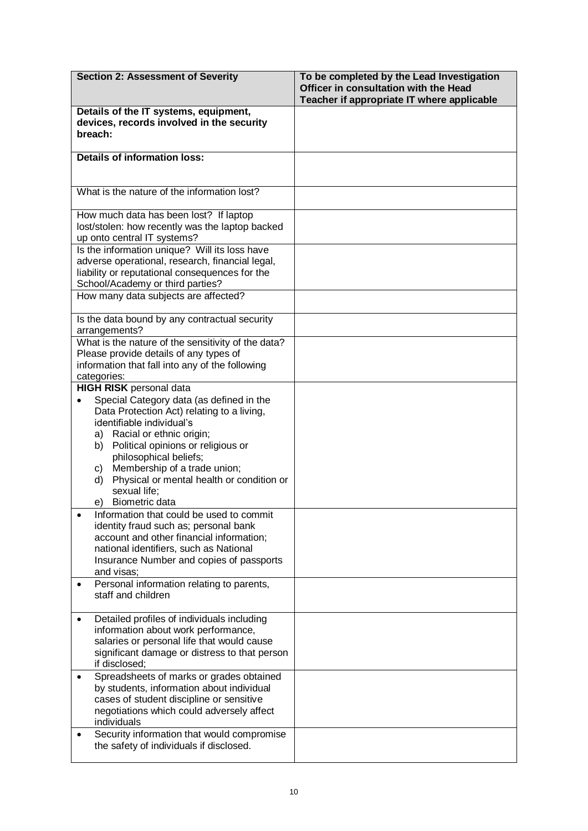| <b>Section 2: Assessment of Severity</b>                                                                                                                                                                                                                                                                                                                                                       | To be completed by the Lead Investigation<br>Officer in consultation with the Head<br>Teacher if appropriate IT where applicable |
|------------------------------------------------------------------------------------------------------------------------------------------------------------------------------------------------------------------------------------------------------------------------------------------------------------------------------------------------------------------------------------------------|----------------------------------------------------------------------------------------------------------------------------------|
| Details of the IT systems, equipment,<br>devices, records involved in the security<br>breach:                                                                                                                                                                                                                                                                                                  |                                                                                                                                  |
| <b>Details of information loss:</b>                                                                                                                                                                                                                                                                                                                                                            |                                                                                                                                  |
| What is the nature of the information lost?                                                                                                                                                                                                                                                                                                                                                    |                                                                                                                                  |
| How much data has been lost? If laptop<br>lost/stolen: how recently was the laptop backed<br>up onto central IT systems?                                                                                                                                                                                                                                                                       |                                                                                                                                  |
| Is the information unique? Will its loss have<br>adverse operational, research, financial legal,<br>liability or reputational consequences for the<br>School/Academy or third parties?                                                                                                                                                                                                         |                                                                                                                                  |
| How many data subjects are affected?                                                                                                                                                                                                                                                                                                                                                           |                                                                                                                                  |
| Is the data bound by any contractual security<br>arrangements?                                                                                                                                                                                                                                                                                                                                 |                                                                                                                                  |
| What is the nature of the sensitivity of the data?<br>Please provide details of any types of<br>information that fall into any of the following<br>categories:                                                                                                                                                                                                                                 |                                                                                                                                  |
| <b>HIGH RISK</b> personal data<br>Special Category data (as defined in the<br>Data Protection Act) relating to a living,<br>identifiable individual's<br>Racial or ethnic origin;<br>a)<br>Political opinions or religious or<br>b)<br>philosophical beliefs;<br>Membership of a trade union;<br>C)<br>Physical or mental health or condition or<br>d)<br>sexual life;<br>Biometric data<br>e) |                                                                                                                                  |
| Information that could be used to commit<br>identity fraud such as; personal bank<br>account and other financial information;<br>national identifiers, such as National<br>Insurance Number and copies of passports<br>and visas;                                                                                                                                                              |                                                                                                                                  |
| Personal information relating to parents,<br>staff and children                                                                                                                                                                                                                                                                                                                                |                                                                                                                                  |
| Detailed profiles of individuals including<br>information about work performance,<br>salaries or personal life that would cause<br>significant damage or distress to that person<br>if disclosed;                                                                                                                                                                                              |                                                                                                                                  |
| Spreadsheets of marks or grades obtained<br>by students, information about individual<br>cases of student discipline or sensitive<br>negotiations which could adversely affect<br>individuals                                                                                                                                                                                                  |                                                                                                                                  |
| Security information that would compromise<br>the safety of individuals if disclosed.                                                                                                                                                                                                                                                                                                          |                                                                                                                                  |